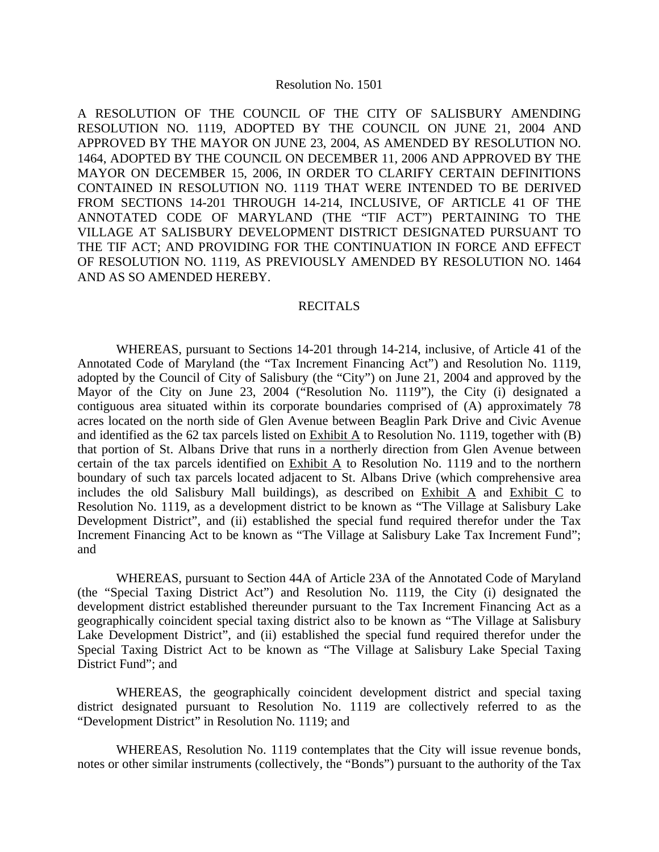## Resolution No. 1501

A RESOLUTION OF THE COUNCIL OF THE CITY OF SALISBURY AMENDING RESOLUTION NO. 1119, ADOPTED BY THE COUNCIL ON JUNE 21, 2004 AND APPROVED BY THE MAYOR ON JUNE 23, 2004, AS AMENDED BY RESOLUTION NO. 1464, ADOPTED BY THE COUNCIL ON DECEMBER 11, 2006 AND APPROVED BY THE MAYOR ON DECEMBER 15, 2006, IN ORDER TO CLARIFY CERTAIN DEFINITIONS CONTAINED IN RESOLUTION NO. 1119 THAT WERE INTENDED TO BE DERIVED FROM SECTIONS 14-201 THROUGH 14-214, INCLUSIVE, OF ARTICLE 41 OF THE ANNOTATED CODE OF MARYLAND (THE "TIF ACT") PERTAINING TO THE VILLAGE AT SALISBURY DEVELOPMENT DISTRICT DESIGNATED PURSUANT TO THE TIF ACT; AND PROVIDING FOR THE CONTINUATION IN FORCE AND EFFECT OF RESOLUTION NO. 1119, AS PREVIOUSLY AMENDED BY RESOLUTION NO. 1464 AND AS SO AMENDED HEREBY.

## RECITALS

 WHEREAS, pursuant to Sections 14-201 through 14-214, inclusive, of Article 41 of the Annotated Code of Maryland (the "Tax Increment Financing Act") and Resolution No. 1119, adopted by the Council of City of Salisbury (the "City") on June 21, 2004 and approved by the Mayor of the City on June 23, 2004 ("Resolution No. 1119"), the City (i) designated a contiguous area situated within its corporate boundaries comprised of (A) approximately 78 acres located on the north side of Glen Avenue between Beaglin Park Drive and Civic Avenue and identified as the 62 tax parcels listed on  $\overline{\text{Exhibit A}}$  to Resolution No. 1119, together with (B) that portion of St. Albans Drive that runs in a northerly direction from Glen Avenue between certain of the tax parcels identified on Exhibit A to Resolution No. 1119 and to the northern boundary of such tax parcels located adjacent to St. Albans Drive (which comprehensive area includes the old Salisbury Mall buildings), as described on Exhibit A and Exhibit C to Resolution No. 1119, as a development district to be known as "The Village at Salisbury Lake Development District", and (ii) established the special fund required therefor under the Tax Increment Financing Act to be known as "The Village at Salisbury Lake Tax Increment Fund"; and

 WHEREAS, pursuant to Section 44A of Article 23A of the Annotated Code of Maryland (the "Special Taxing District Act") and Resolution No. 1119, the City (i) designated the development district established thereunder pursuant to the Tax Increment Financing Act as a geographically coincident special taxing district also to be known as "The Village at Salisbury Lake Development District", and (ii) established the special fund required therefor under the Special Taxing District Act to be known as "The Village at Salisbury Lake Special Taxing District Fund"; and

 WHEREAS, the geographically coincident development district and special taxing district designated pursuant to Resolution No. 1119 are collectively referred to as the "Development District" in Resolution No. 1119; and

 WHEREAS, Resolution No. 1119 contemplates that the City will issue revenue bonds, notes or other similar instruments (collectively, the "Bonds") pursuant to the authority of the Tax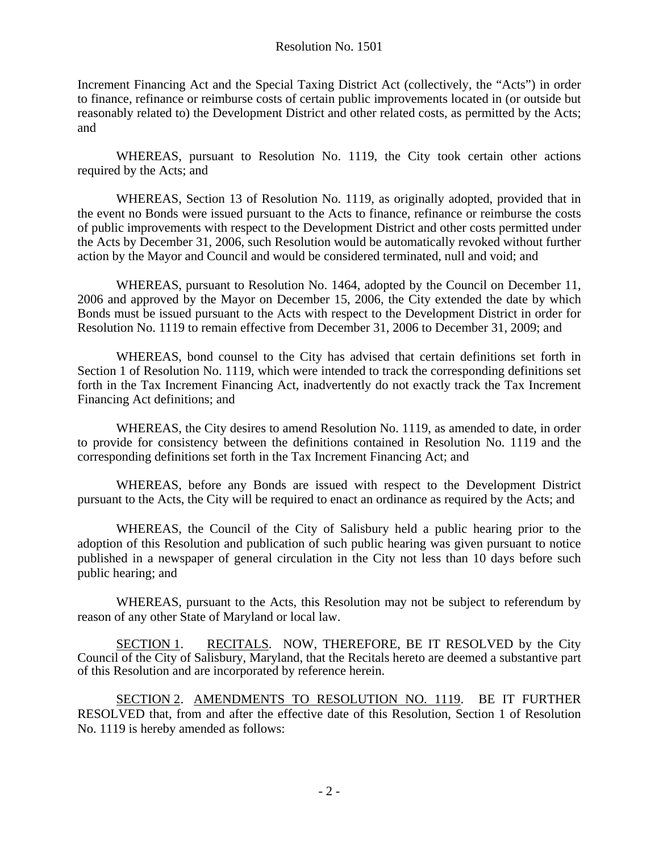Increment Financing Act and the Special Taxing District Act (collectively, the "Acts") in order to finance, refinance or reimburse costs of certain public improvements located in (or outside but reasonably related to) the Development District and other related costs, as permitted by the Acts; and

 WHEREAS, pursuant to Resolution No. 1119, the City took certain other actions required by the Acts; and

 WHEREAS, Section 13 of Resolution No. 1119, as originally adopted, provided that in the event no Bonds were issued pursuant to the Acts to finance, refinance or reimburse the costs of public improvements with respect to the Development District and other costs permitted under the Acts by December 31, 2006, such Resolution would be automatically revoked without further action by the Mayor and Council and would be considered terminated, null and void; and

 WHEREAS, pursuant to Resolution No. 1464, adopted by the Council on December 11, 2006 and approved by the Mayor on December 15, 2006, the City extended the date by which Bonds must be issued pursuant to the Acts with respect to the Development District in order for Resolution No. 1119 to remain effective from December 31, 2006 to December 31, 2009; and

 WHEREAS, bond counsel to the City has advised that certain definitions set forth in Section 1 of Resolution No. 1119, which were intended to track the corresponding definitions set forth in the Tax Increment Financing Act, inadvertently do not exactly track the Tax Increment Financing Act definitions; and

 WHEREAS, the City desires to amend Resolution No. 1119, as amended to date, in order to provide for consistency between the definitions contained in Resolution No. 1119 and the corresponding definitions set forth in the Tax Increment Financing Act; and

 WHEREAS, before any Bonds are issued with respect to the Development District pursuant to the Acts, the City will be required to enact an ordinance as required by the Acts; and

 WHEREAS, the Council of the City of Salisbury held a public hearing prior to the adoption of this Resolution and publication of such public hearing was given pursuant to notice published in a newspaper of general circulation in the City not less than 10 days before such public hearing; and

 WHEREAS, pursuant to the Acts, this Resolution may not be subject to referendum by reason of any other State of Maryland or local law.

SECTION 1. RECITALS. NOW, THEREFORE, BE IT RESOLVED by the City Council of the City of Salisbury, Maryland, that the Recitals hereto are deemed a substantive part of this Resolution and are incorporated by reference herein.

SECTION 2. AMENDMENTS TO RESOLUTION NO. 1119. BE IT FURTHER RESOLVED that, from and after the effective date of this Resolution, Section 1 of Resolution No. 1119 is hereby amended as follows: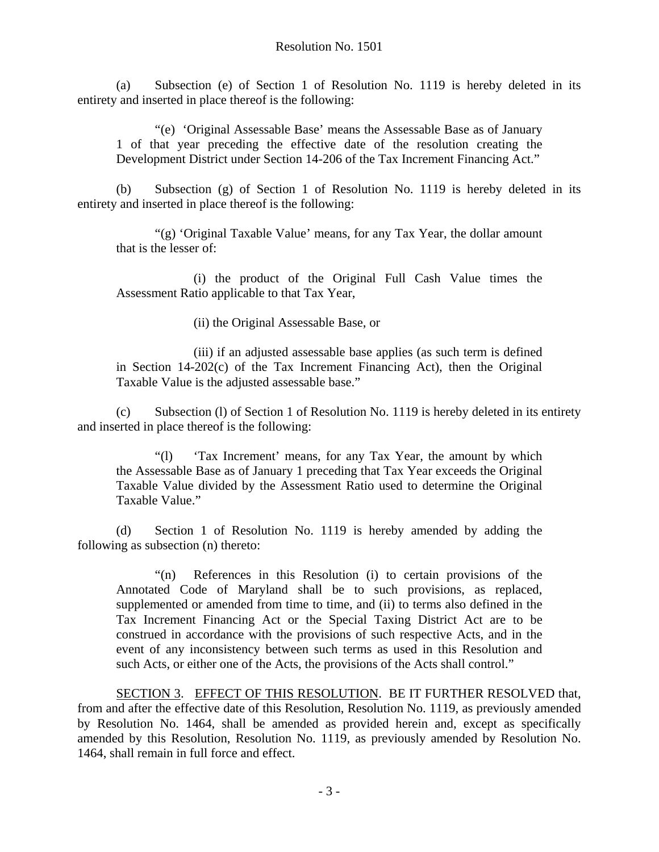(a) Subsection (e) of Section 1 of Resolution No. 1119 is hereby deleted in its entirety and inserted in place thereof is the following:

 "(e) 'Original Assessable Base' means the Assessable Base as of January 1 of that year preceding the effective date of the resolution creating the Development District under Section 14-206 of the Tax Increment Financing Act."

(b) Subsection (g) of Section 1 of Resolution No. 1119 is hereby deleted in its entirety and inserted in place thereof is the following:

"(g) 'Original Taxable Value' means, for any Tax Year, the dollar amount that is the lesser of:

(i) the product of the Original Full Cash Value times the Assessment Ratio applicable to that Tax Year,

(ii) the Original Assessable Base, or

(iii) if an adjusted assessable base applies (as such term is defined in Section 14-202(c) of the Tax Increment Financing Act), then the Original Taxable Value is the adjusted assessable base."

 (c) Subsection (l) of Section 1 of Resolution No. 1119 is hereby deleted in its entirety and inserted in place thereof is the following:

 "(l) 'Tax Increment' means, for any Tax Year, the amount by which the Assessable Base as of January 1 preceding that Tax Year exceeds the Original Taxable Value divided by the Assessment Ratio used to determine the Original Taxable Value."

 (d) Section 1 of Resolution No. 1119 is hereby amended by adding the following as subsection (n) thereto:

 "(n) References in this Resolution (i) to certain provisions of the Annotated Code of Maryland shall be to such provisions, as replaced, supplemented or amended from time to time, and (ii) to terms also defined in the Tax Increment Financing Act or the Special Taxing District Act are to be construed in accordance with the provisions of such respective Acts, and in the event of any inconsistency between such terms as used in this Resolution and such Acts, or either one of the Acts, the provisions of the Acts shall control."

SECTION 3. EFFECT OF THIS RESOLUTION. BE IT FURTHER RESOLVED that, from and after the effective date of this Resolution, Resolution No. 1119, as previously amended by Resolution No. 1464, shall be amended as provided herein and, except as specifically amended by this Resolution, Resolution No. 1119, as previously amended by Resolution No. 1464, shall remain in full force and effect.